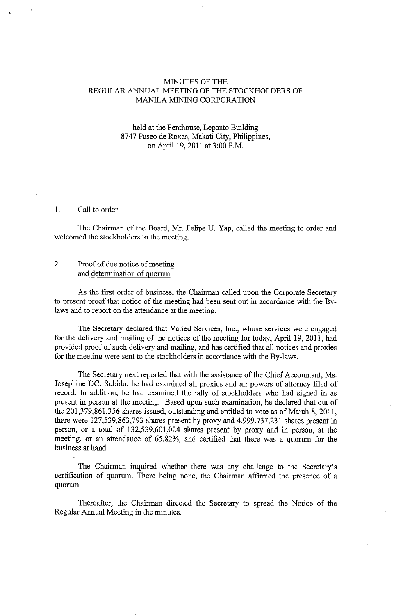#### MINUTES OF THE REGULAR ANNUAL MEETING OF THE STOCKHOLDERS OF MANILA MINING CORPORATION

## held at the Penthouse, Lepanto Building 8747 Paseo de Roxas, Makati City, Philippines, on April 19, 2011 at 3:00 P.M.

#### 1. Call to order

The Chairman of the Board, Mr. Felipe U. Yap, called the meeting to order and welcomed the stockholders to the meeting.

## 2. Proof of due notice of meeting and determination of quorum

As the first order of business, the Chairman called upon the Corporate Secretary to present proof that notice of the meeting had been sent out in accordance with the Bylaws and to report on the attendance at the meeting.

The Secretary declared that Varied Services, Inc., whose services were engaged for the delivery and mailing of the notices of the meeting for today, April 19, 2011, had provided proof of such delivery and mailing, and has certified that all notices and proxies for the meeting were sent to the stockholders in accordance with the By-laws.

The Secretary next reported that with the assistance of the Chief Accountant, Ms. Josephine DC. Subido, he had examined all proxies and all powers of attorney filed of record. In addition, he had examined the tally of stockholders who had signed in as present in person at the meeting. Based upon such examination, he declared that out of the 201,379,861,356 shares issued, outstanding and entitled to vote as of March 8, 2011, there were 127,539,863,793 shares present by proxy and 4,999,737,231 shares present in person, or a total of 132,539,601,024 shares present by proxy and in person, at the meeting, or an attendance of 65.82%, and certified that there was a quorum for the business at hand.

The Chairman inquired whether there was any challenge to the Secretary's certification of quorum. There being none, the Chairman affirmed the presence of a quorum.

Thereafter, the Chairman directed the Secretary to spread the Notice of the Regular Annual Meeting in the minutes.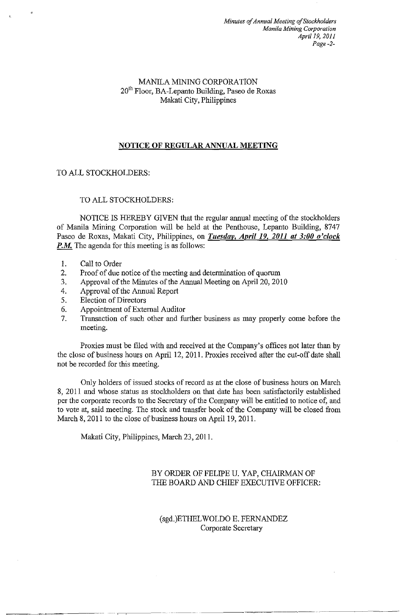## MANILA MINING CORPORATION  $20<sup>th</sup>$  Floor, BA-Lepanto Building, Paseo de Roxas Makati City, Philippines

# NOTICE OF REGULAR ANNUAL MEETING

# TO ALL STOCKHOLDERS:

## TO ALL STOCKHOLDERS:

NOTICE IS HEREBY GIVEN that the regular annual meeting of the stockholders of Manila Mining Corporation will be held at the Penthouse, Lepanto Building, 8747 Paseo de Roxas, Makati City, Philippines, on *Tuesday, April 19, 2011 at 3:00 o'clock*  **P.M.** The agenda for this meeting is as follows:

- 1. Call to Order
- 2. Proof of due notice of the meeting and determination of quorum
- 3. Approval of the Minutes of the Annual Meeting on April 20, 2010
- 4. Approval of the Annual Report
- 5. Election of Directors
- 6. Appointment of External Auditor
- 7. Transaction of such other and further business as may properly come before the meeting.

Proxies must be filed with and received at the Company's offices not later than by the close of business hours on April 12, 2011. Proxies received after the cut-off date shall not be recorded for this meeting.

Only holders of issued stocks of record as at the close of business hours on March 8, 2011 and whose status as stockholders on that date has been satisfactorily established per the corporate records to the Secretary of the Company will be entitled to notice of, and to vote at, said meeting. The stock and transfer book of the Company will be closed from March 8, 2011 to the close of business hours on April 19, 2011.

Makati City, Philippines, March 23, 2011.

# BY ORDER OF FELIPE U. YAP, CHAIRMAN OF THE BOARD AND CHIEF EXECUTIVE OFFICER:

## (sgd.)ETHELWOLDO E. FERNANDEZ Corporate Secretary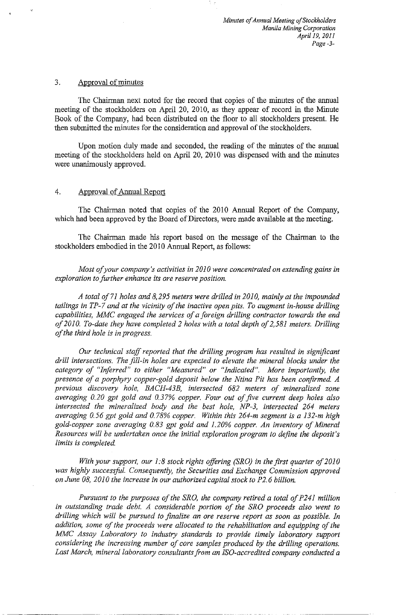#### 3. Approval of minutes

The Chairman next noted for the record that copies of the minutes of the annual meeting of the stockholders on April 20, 2010, as they appear of record in the Minute Book of the Company, had been distributed on the floor to all stockholders present. He then submitted the minutes for the consideration and approval of the stockholders.

Upon motion duly made and seconded, the reading of the minutes of the annual meeting of the stockholders held on April 20, 2010 was dispensed with and the minutes were unanimously approved.

## 4. Approval of Annual Report

The Chairman noted that copies of the 2010 Annual Report of the Company, which had been approved by the Board of Directors, were made available at the meeting.

The Chairman made his report based on the message of the Chairman to the stockholders embodied in the 2010 Annual Report, as follows:

*Most of your company's activities in 2010 were concentrated on extending gains in exploration to further enhance its ore reserve position.* 

*A total of71 holes and 8,295 meters were drilled in 2010, mainly at the impounded tailings in TP-7 and at the vicinity of the inactive open pits. To augment in-house drilling capabilities, MMC engaged the services of a foreign drilling contractor towards the end of 2010. To-date they have completed 2 holes with a total depth of 2,581 meters. Drilling of the third hole is in progress.* 

*Our technical staff reported that the drilling program has resulted in significant drill intersections. The jill-in holes are expected to elevate the mineral blocks under the category of "Inferred" to either "Measured" or "Indicated". More importantly, the presence of a porphyry copper-gold deposit below the Ntina Pit has been confirmed. A previous discovery hole, BACH-43B, intersected 682 meters of mineralized zone averaging 0.20 gpt gold and 0.37% copper. Four out of jive current deep holes also intersected the mineralized body and the best hole, NP-3, intersected 264 meters averaging 0. 56 gpt gold and 0. 78% copper. Within this 264-m segment* is *a 132-m high gold-copper zone averaging 0.83 gpt gold and 1.20% copper. An inventory of Mineral Resources will be undertaken once the initial exploration program to define the deposit's limits is completed.* 

*With your support, our 1:8 stock rights offering (SRO) in the first quarter of 2010* was highly successful. Consequently, the Securities and Exchange Commission approved *on June 08, 2010 the increase in our authorized capital stock to P2. 6 billion.* 

*Pursuant to the purposes of the SRO, the company retired a total of P241 million in outstanding trade debt. A considerable portion of the SRO proceeds also went to drilling which will be pursued to finalize an ore reserve report as soon as possible. In addition, some of the proceeds were allocated to the rehabilitation and equipping of the MMC Assay Laboratory to industry standards to provide timely laboratory support considering the increasing number of core samples produced by the drilling operations. Last March, mineral laboratory consultants from an !SO-accredited company conducted a*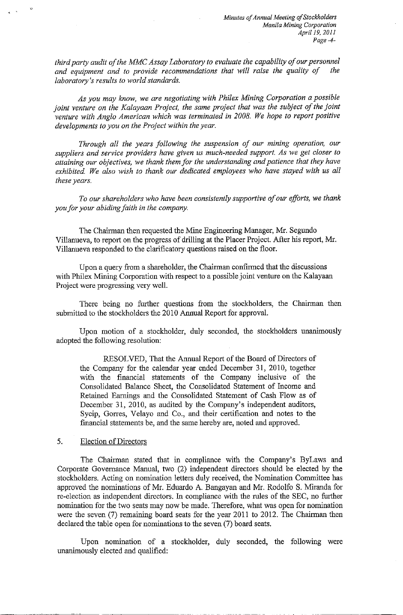*third party audit of the MMC Assay Laboratory to evaluate the capability of our personnel*  and equipment and to provide recommendations that will raise the quality of *laboratory's results to world standards.* 

*As you may know, we are negotiating with Phi/ex Mining Corporation a possible joint venture on the Kalayaan Project, the same project that was the subject of the joint venture with Anglo American which was terminated in 2008. We hope to report positive developments to you on the Project within the year.* 

*Through all the years following the suspension of our mining operation, our suppliers and service providers have given us much-needed support. As we get closer to attaining our objectives, we thank them for the understanding and patience that they have exhibited. We also wish to thank our dedicated employees who have stayed with us all these years.* 

*To our shareholders who have been consistently supportive of our efforts, we thank you for your abiding faith in the company.* 

The Chairman then requested the Mine Engineering Manager, Mr. Segundo Villanueva, to report on the progress of drilling at the Placer Project. After his report, Mr. Villanueva responded to the clarificatory questions raised on the floor.

Upon a query from a shareholder, the Chairman confirmed that the discussions with Philex Mining Corporation with respect to a possible joint venture on the Kalayaan Project were progressing very well.

There being no further questions from the stockholders, the Chairman then submitted to the stockholders the 2010 Annual Report for approval.

Upon motion of a stockholder, duly seconded, the stockholders unanimously adopted the following resolution:

RESOLVED, That the Annual Report of the Board of Directors of the Company for the calendar year ended December 31, 2010, together with the financial statements of the Company inclusive of the Consolidated Balance Sheet, the Consolidated Statement of Income and Retained Earnings and the Consolidated Statement of Cash Flow as of December 31, 2010, as audited by the Company's independent auditors, Sycip, Gorres, Velayo and Co., and their certification and notes to the financial statements be, and the same hereby are, noted and approved.

#### 5. Election of Directors

The Chairman stated that in compliance with the Company's ByLaws and Corporate Governance Manual, two (2) independent directors should be elected by the stockholders. Acting on nomination letters duly received, the Nomination Committee has approved the nominations of Mr. Eduardo A. Bangayan and Mr. Rodolfo S. Miranda for re-election as independent directors. In compliance with the rnles of the SEC, no further nomination for the two seats may now be made. Therefore, what was open for nomination were the seven (7) remaining board seats for the year 2011 to 2012. The Chairman then declared the table open for nominations to the seven (7) board seats.

Upon nomination of a stockholder, duly seconded, the following were unanimously elected and qualified: